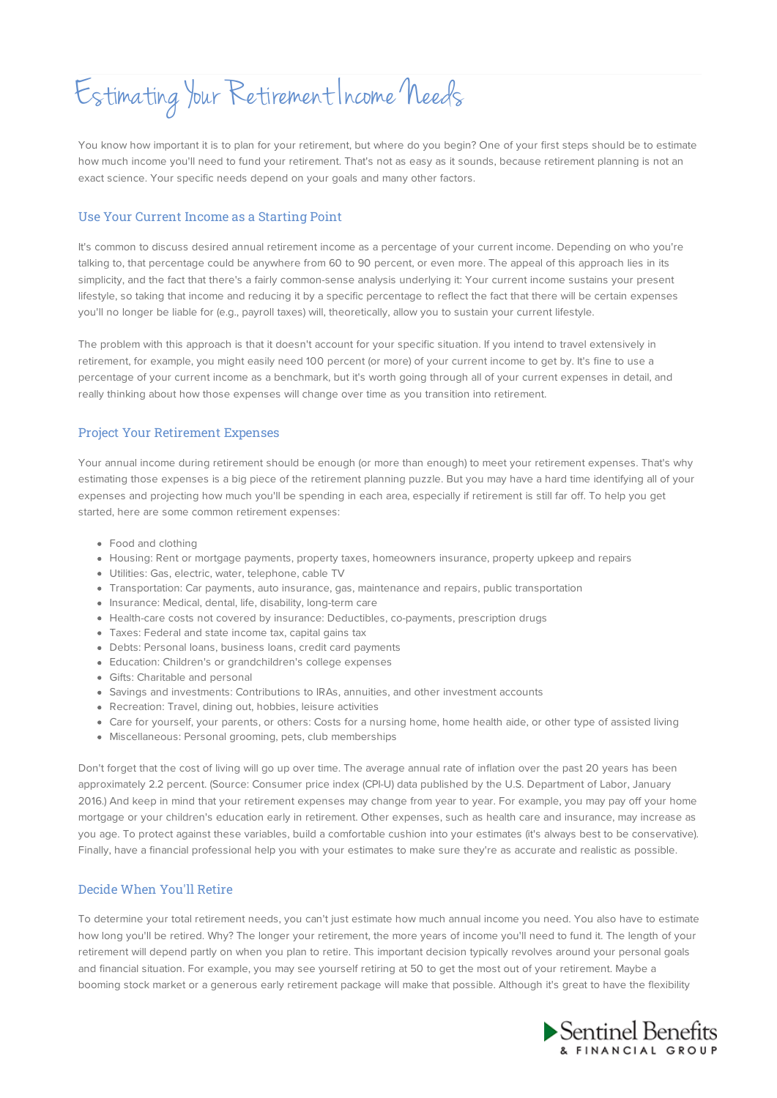# Estimating Your Retirement Income Needs

You know how important it is to plan for your retirement, but where do you begin? One of your first steps should be to estimate how much income you'll need to fund your retirement. That's not as easy as it sounds, because retirement planning is not an exact science. Your specific needs depend on your goals and many other factors.

## Use Your Current Income as a Starting Point

It's common to discuss desired annual retirement income as a percentage of your current income. Depending on who you're talking to, that percentage could be anywhere from 60 to 90 percent, or even more. The appeal of this approach lies in its simplicity, and the fact that there's a fairly common-sense analysis underlying it: Your current income sustains your present lifestyle, so taking that income and reducing it by a specific percentage to reflect the fact that there will be certain expenses you'll no longer be liable for (e.g., payroll taxes) will, theoretically, allow you to sustain your current lifestyle.

The problem with this approach is that it doesn't account for your specific situation. If you intend to travel extensively in retirement, for example, you might easily need 100 percent (or more) of your current income to get by. It's fine to use a percentage of your current income as a benchmark, but it's worth going through all of your current expenses in detail, and really thinking about how those expenses will change over time as you transition into retirement.

# Project Your Retirement Expenses

Your annual income during retirement should be enough (or more than enough) to meet your retirement expenses. That's why estimating those expenses is a big piece of the retirement planning puzzle. But you may have a hard time identifying all of your expenses and projecting how much you'll be spending in each area, especially if retirement is still far off. To help you get started, here are some common retirement expenses:

- Food and clothing
- Housing: Rent or mortgage payments, property taxes, homeowners insurance, property upkeep and repairs
- Utilities: Gas, electric, water, telephone, cable TV
- Transportation: Car payments, auto insurance, gas, maintenance and repairs, public transportation
- Insurance: Medical, dental, life, disability, long-term care
- Health-care costs not covered by insurance: Deductibles, co-payments, prescription drugs
- Taxes: Federal and state income tax, capital gains tax
- Debts: Personal loans, business loans, credit card payments
- Education: Children's or grandchildren's college expenses
- Gifts: Charitable and personal
- Savings and investments: Contributions to IRAs, annuities, and other investment accounts
- Recreation: Travel, dining out, hobbies, leisure activities
- Care for yourself, your parents, or others: Costs for a nursing home, home health aide, or other type of assisted living
- Miscellaneous: Personal grooming, pets, club memberships

Don't forget that the cost of living will go up over time. The average annual rate of inflation over the past 20 years has been approximately 2.2 percent. (Source: Consumer price index (CPI-U) data published by the U.S. Department of Labor, January 2016.) And keep in mind that your retirement expenses may change from year to year. For example, you may pay off your home mortgage or your children's education early in retirement. Other expenses, such as health care and insurance, may increase as you age. To protect against these variables, build a comfortable cushion into your estimates (it's always best to be conservative). Finally, have a financial professional help you with your estimates to make sure they're as accurate and realistic as possible.

### Decide When You'll Retire

To determine your total retirement needs, you can't just estimate how much annual income you need. You also have to estimate how long you'll be retired. Why? The longer your retirement, the more years of income you'll need to fund it. The length of your retirement will depend partly on when you plan to retire. This important decision typically revolves around your personal goals and financial situation. For example, you may see yourself retiring at 50 to get the most out of your retirement. Maybe a booming stock market or a generous early retirement package will make that possible. Although it's great to have the flexibility